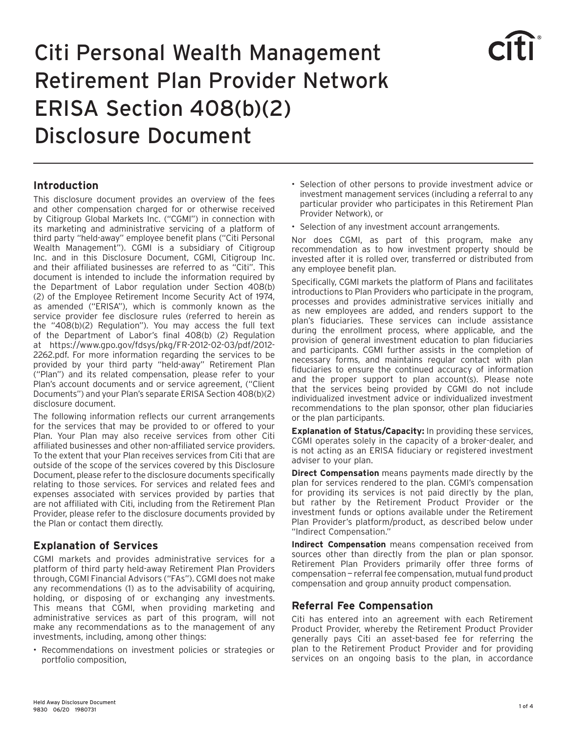# Citi Personal Wealth Management Retirement Plan Provider Network ERISA Section 408(b)(2) Disclosure Document



This disclosure document provides an overview of the fees and other compensation charged for or otherwise received by Citigroup Global Markets Inc. ("CGMI") in connection with its marketing and administrative servicing of a platform of third party "held-away" employee benefit plans ("Citi Personal Wealth Management"). CGMI is a subsidiary of Citigroup Inc. and in this Disclosure Document, CGMI, Citigroup Inc. and their affiliated businesses are referred to as "Citi". This document is intended to include the information required by the Department of Labor regulation under Section 408(b) (2) of the Employee Retirement Income Security Act of 1974, as amended ("ERISA"), which is commonly known as the service provider fee disclosure rules (referred to herein as the "408(b)(2) Regulation"). You may access the full text of the Department of Labor's final 408(b) (2) Regulation at https://www.gpo.gov/fdsys/pkg/FR-2012-02-03/pdf/2012- 2262.pdf. For more information regarding the services to be provided by your third party "held-away" Retirement Plan ("Plan") and its related compensation, please refer to your Plan's account documents and or service agreement, ("Client Documents") and your Plan's separate ERISA Section 408(b)(2) disclosure document.

The following information reflects our current arrangements for the services that may be provided to or offered to your Plan. Your Plan may also receive services from other Citi affiliated businesses and other non-affiliated service providers. To the extent that your Plan receives services from Citi that are outside of the scope of the services covered by this Disclosure Document, please refer to the disclosure documents specifically relating to those services. For services and related fees and expenses associated with services provided by parties that are not affiliated with Citi, including from the Retirement Plan Provider, please refer to the disclosure documents provided by the Plan or contact them directly.

# **Explanation of Services**

CGMI markets and provides administrative services for a platform of third party held-away Retirement Plan Providers through, CGMI Financial Advisors ("FAs"). CGMI does not make any recommendations (1) as to the advisability of acquiring, holding, or disposing of or exchanging any investments. This means that CGMI, when providing marketing and administrative services as part of this program, will not make any recommendations as to the management of any investments, including, among other things:

• Recommendations on investment policies or strategies or portfolio composition,

- Selection of other persons to provide investment advice or investment management services (including a referral to any particular provider who participates in this Retirement Plan Provider Network), or
- Selection of any investment account arrangements.

Nor does CGMI, as part of this program, make any recommendation as to how investment property should be invested after it is rolled over, transferred or distributed from any employee benefit plan.

Specifically, CGMI markets the platform of Plans and facilitates introductions to Plan Providers who participate in the program, processes and provides administrative services initially and as new employees are added, and renders support to the plan's fiduciaries. These services can include assistance during the enrollment process, where applicable, and the provision of general investment education to plan fiduciaries and participants. CGMI further assists in the completion of necessary forms, and maintains regular contact with plan fiduciaries to ensure the continued accuracy of information and the proper support to plan account(s). Please note that the services being provided by CGMI do not include individualized investment advice or individualized investment recommendations to the plan sponsor, other plan fiduciaries or the plan participants.

**Explanation of Status/Capacity:** In providing these services, CGMI operates solely in the capacity of a broker-dealer, and is not acting as an ERISA fiduciary or registered investment adviser to your plan.

**Direct Compensation** means payments made directly by the plan for services rendered to the plan. CGMI's compensation for providing its services is not paid directly by the plan, but rather by the Retirement Product Provider or the investment funds or options available under the Retirement Plan Provider's platform/product, as described below under "Indirect Compensation."

**Indirect Compensation** means compensation received from sources other than directly from the plan or plan sponsor. Retirement Plan Providers primarily offer three forms of compensation — referral fee compensation, mutual fund product compensation and group annuity product compensation.

# **Referral Fee Compensation**

Citi has entered into an agreement with each Retirement Product Provider, whereby the Retirement Product Provider generally pays Citi an asset-based fee for referring the plan to the Retirement Product Provider and for providing services on an ongoing basis to the plan, in accordance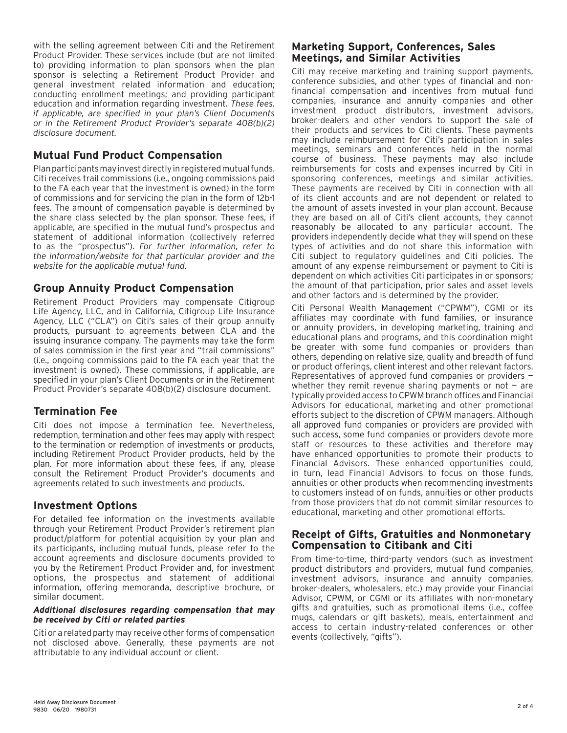with the selling agreement between Citi and the Retirement Product Provider. These services include (but are not limited to) providing information to plan sponsors when the plan sponsor is selecting a Retirement Product Provider and general investment related information and education; conducting enrollment meetings; and providing participant education and information regarding investment. *These fees, if applicable, are specified in your plan's Client Documents or in the Retirement Product Provider's separate 408(b)(2) disclosure document.*

#### **Mutual Fund Product Compensation**

Plan participants may invest directly in registered mutual funds. Citi receives trail commissions (i.e., ongoing commissions paid to the FA each year that the investment is owned) in the form of commissions and for servicing the plan in the form of 12b-1 fees. The amount of compensation payable is determined by the share class selected by the plan sponsor. These fees, if applicable, are specified in the mutual fund's prospectus and statement of additional information (collectively referred to as the "prospectus"). *For further information, refer to the information/website for that particular provider and the website for the applicable mutual fund.*

#### **Group Annuity Product Compensation**

Retirement Product Providers may compensate Citigroup Life Agency, LLC, and in California, Citigroup Life Insurance Agency, LLC ("CLA") on Citi's sales of their group annuity products, pursuant to agreements between CLA and the issuing insurance company. The payments may take the form of sales commission in the first year and "trail commissions" (i.e., ongoing commissions paid to the FA each year that the investment is owned). These commissions, if applicable, are specified in your plan's Client Documents or in the Retirement Product Provider's separate 408(b)(2) disclosure document.

# **Termination Fee**

Citi does not impose a termination fee. Nevertheless, redemption, termination and other fees may apply with respect to the termination or redemption of investments or products, including Retirement Product Provider products, held by the plan. For more information about these fees, if any, please consult the Retirement Product Provider's documents and agreements related to such investments and products.

#### **Investment Options**

For detailed fee information on the investments available through your Retirement Product Provider's retirement plan product/platform for potential acquisition by your plan and its participants, including mutual funds, please refer to the account agreements and disclosure documents provided to you by the Retirement Product Provider and, for investment options, the prospectus and statement of additional information, offering memoranda, descriptive brochure, or similar document.

#### *Additional disclosures regarding compensation that may be received by Citi or related parties*

Citi or a related party may receive other forms of compensation not disclosed above. Generally, these payments are not attributable to any individual account or client.

#### **Marketing Support, Conferences, Sales Meetings, and Similar Activities**

Citi may receive marketing and training support payments, conference subsidies, and other types of financial and nonfinancial compensation and incentives from mutual fund companies, insurance and annuity companies and other investment product distributors, investment advisors, broker-dealers and other vendors to support the sale of their products and services to Citi clients. These payments may include reimbursement for Citi's participation in sales meetings, seminars and conferences held in the normal course of business. These payments may also include reimbursements for costs and expenses incurred by Citi in sponsoring conferences, meetings and similar activities. These payments are received by Citi in connection with all of its client accounts and are not dependent or related to the amount of assets invested in your plan account. Because they are based on all of Citi's client accounts, they cannot reasonably be allocated to any particular account. The providers independently decide what they will spend on these types of activities and do not share this information with Citi subject to regulatory guidelines and Citi policies. The amount of any expense reimbursement or payment to Citi is dependent on which activities Citi participates in or sponsors; the amount of that participation, prior sales and asset levels and other factors and is determined by the provider.

Citi Personal Wealth Management ("CPWM"), CGMI or its affiliates may coordinate with fund families, or insurance or annuity providers, in developing marketing, training and educational plans and programs, and this coordination might be greater with some fund companies or providers than others, depending on relative size, quality and breadth of fund or product offerings, client interest and other relevant factors. Representatives of approved fund companies or providers whether they remit revenue sharing payments or not  $-$  are typically provided access to CPWM branch offices and Financial Advisors for educational, marketing and other promotional efforts subject to the discretion of CPWM managers. Although all approved fund companies or providers are provided with such access, some fund companies or providers devote more staff or resources to these activities and therefore may have enhanced opportunities to promote their products to Financial Advisors. These enhanced opportunities could, in turn, lead Financial Advisors to focus on those funds, annuities or other products when recommending investments to customers instead of on funds, annuities or other products from those providers that do not commit similar resources to educational, marketing and other promotional efforts.

#### **Receipt of Gifts, Gratuities and Nonmonetary Compensation to Citibank and Citi**

From time-to-time, third-party vendors (such as investment product distributors and providers, mutual fund companies, investment advisors, insurance and annuity companies, broker-dealers, wholesalers, etc.) may provide your Financial Advisor, CPWM, or CGMI or its affiliates with non-monetary gifts and gratuities, such as promotional items (i.e., coffee mugs, calendars or gift baskets), meals, entertainment and access to certain industry-related conferences or other events (collectively, "gifts").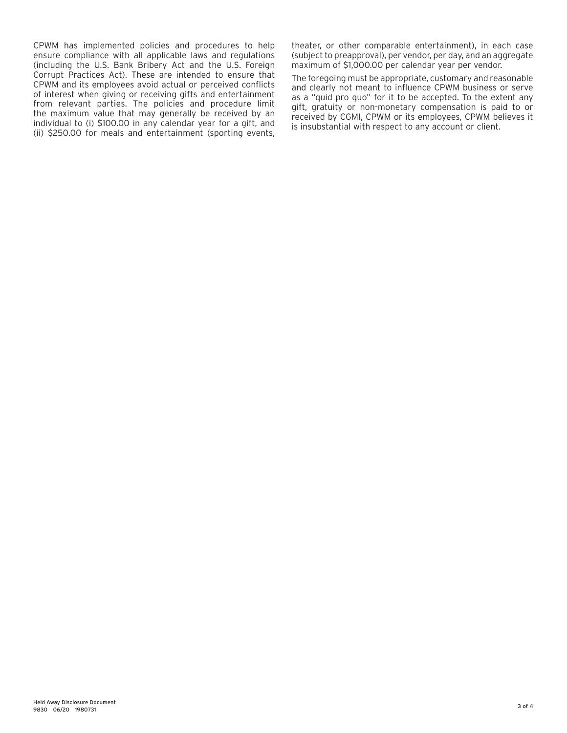CPWM has implemented policies and procedures to help ensure compliance with all applicable laws and regulations (including the U.S. Bank Bribery Act and the U.S. Foreign Corrupt Practices Act). These are intended to ensure that CPWM and its employees avoid actual or perceived conflicts of interest when giving or receiving gifts and entertainment from relevant parties. The policies and procedure limit the maximum value that may generally be received by an individual to (i) \$100.00 in any calendar year for a gift, and (ii) \$250.00 for meals and entertainment (sporting events,

theater, or other comparable entertainment), in each case (subject to preapproval), per vendor, per day, and an aggregate maximum of \$1,000.00 per calendar year per vendor.

The foregoing must be appropriate, customary and reasonable and clearly not meant to influence CPWM business or serve as a "quid pro quo" for it to be accepted. To the extent any gift, gratuity or non-monetary compensation is paid to or received by CGMI, CPWM or its employees, CPWM believes it is insubstantial with respect to any account or client.